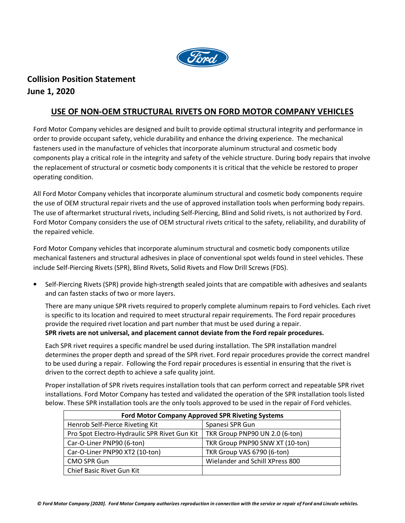

## **Collision Position Statement June 1, 2020**

## **USE OF NON-OEM STRUCTURAL RIVETS ON FORD MOTOR COMPANY VEHICLES**

Ford Motor Company vehicles are designed and built to provide optimal structural integrity and performance in order to provide occupant safety, vehicle durability and enhance the driving experience. The mechanical fasteners used in the manufacture of vehicles that incorporate aluminum structural and cosmetic body components play a critical role in the integrity and safety of the vehicle structure. During body repairs that involve the replacement of structural or cosmetic body components it is critical that the vehicle be restored to proper operating condition.

All Ford Motor Company vehicles that incorporate aluminum structural and cosmetic body components require the use of OEM structural repair rivets and the use of approved installation tools when performing body repairs. The use of aftermarket structural rivets, including Self-Piercing, Blind and Solid rivets, is not authorized by Ford. Ford Motor Company considers the use of OEM structural rivets critical to the safety, reliability, and durability of the repaired vehicle.

Ford Motor Company vehicles that incorporate aluminum structural and cosmetic body components utilize mechanical fasteners and structural adhesives in place of conventional spot welds found in steel vehicles. These include Self-Piercing Rivets (SPR), Blind Rivets, Solid Rivets and Flow Drill Screws (FDS).

• Self-Piercing Rivets (SPR) provide high-strength sealed joints that are compatible with adhesives and sealants and can fasten stacks of two or more layers.

There are many unique SPR rivets required to properly complete aluminum repairs to Ford vehicles. Each rivet is specific to its location and required to meet structural repair requirements. The Ford repair procedures provide the required rivet location and part number that must be used during a repair. **SPR rivets are not universal, and placement cannot deviate from the Ford repair procedures.** 

Each SPR rivet requires a specific mandrel be used during installation. The SPR installation mandrel determines the proper depth and spread of the SPR rivet. Ford repair procedures provide the correct mandrel to be used during a repair. Following the Ford repair procedures is essential in ensuring that the rivet is driven to the correct depth to achieve a safe quality joint.

Proper installation of SPR rivets requires installation tools that can perform correct and repeatable SPR rivet installations. Ford Motor Company has tested and validated the operation of the SPR installation tools listed below. These SPR installation tools are the only tools approved to be used in the repair of Ford vehicles.

| <b>Ford Motor Company Approved SPR Riveting Systems</b> |                                 |
|---------------------------------------------------------|---------------------------------|
| Henrob Self-Pierce Riveting Kit                         | Spanesi SPR Gun                 |
| Pro Spot Electro-Hydraulic SPR Rivet Gun Kit            | TKR Group PNP90 UN 2.0 (6-ton)  |
| Car-O-Liner PNP90 (6-ton)                               | TKR Group PNP90 SNW XT (10-ton) |
| Car-O-Liner PNP90 XT2 (10-ton)                          | TKR Group VAS 6790 (6-ton)      |
| <b>CMO SPR Gun</b>                                      | Wielander and Schill XPress 800 |
| Chief Basic Rivet Gun Kit                               |                                 |